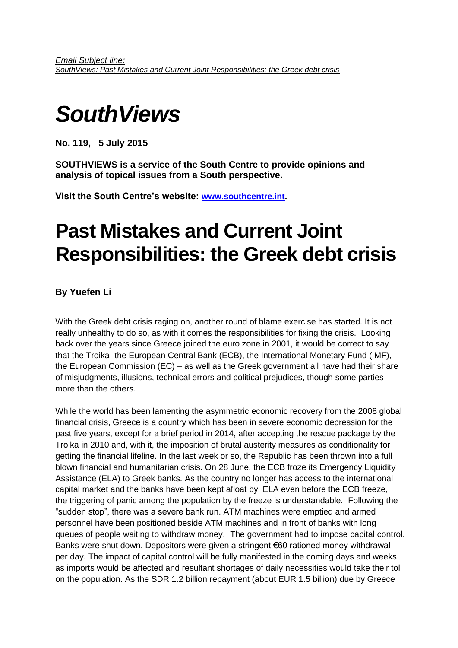# *SouthViews*

**No. 119, 5 July 2015**

**SOUTHVIEWS is a service of the South Centre to provide opinions and analysis of topical issues from a South perspective.**

**Visit the South Centre's website: [www.southcentre.int.](http://www.southcentre.org/)**

# **Past Mistakes and Current Joint Responsibilities: the Greek debt crisis**

**By Yuefen Li**

With the Greek debt crisis raging on, another round of blame exercise has started. It is not really unhealthy to do so, as with it comes the responsibilities for fixing the crisis. Looking back over the years since Greece joined the euro zone in 2001, it would be correct to say that the Troika -the European Central Bank (ECB), the International Monetary Fund (IMF), the European Commission (EC) – as well as the Greek government all have had their share of misjudgments, illusions, technical errors and political prejudices, though some parties more than the others.

While the world has been lamenting the asymmetric economic recovery from the 2008 global financial crisis, Greece is a country which has been in severe economic depression for the past five years, except for a brief period in 2014, after accepting the rescue package by the Troika in 2010 and, with it, the imposition of brutal austerity measures as conditionality for getting the financial lifeline. In the last week or so, the Republic has been thrown into a full blown financial and humanitarian crisis. On 28 June, the ECB froze its Emergency Liquidity Assistance (ELA) to Greek banks. As the country no longer has access to the international capital market and the banks have been kept afloat by ELA even before the ECB freeze, the triggering of panic among the population by the freeze is understandable. Following the "sudden stop", there was a severe bank run. ATM machines were emptied and armed personnel have been positioned beside ATM machines and in front of banks with long queues of people waiting to withdraw money. The government had to impose capital control. Banks were shut down. Depositors were given a stringent €60 rationed money withdrawal per day. The impact of capital control will be fully manifested in the coming days and weeks as imports would be affected and resultant shortages of daily necessities would take their toll on the population. As the SDR 1.2 billion repayment (about EUR 1.5 billion) due by Greece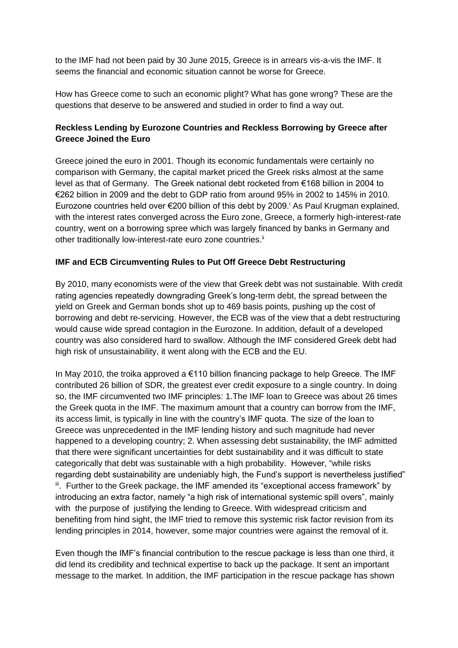to the IMF had not been paid by 30 June 2015, Greece is in arrears vis-a-vis the IMF. It seems the financial and economic situation cannot be worse for Greece.

How has Greece come to such an economic plight? What has gone wrong? These are the questions that deserve to be answered and studied in order to find a way out.

## **Reckless Lending by Eurozone Countries and Reckless Borrowing by Greece after Greece Joined the Euro**

Greece joined the euro in 2001. Though its economic fundamentals were certainly no comparison with Germany, the capital market priced the Greek risks almost at the same level as that of Germany. The Greek national debt rocketed from €168 billion in 2004 to €262 billion in 2009 and the debt to GDP ratio from around 95% in 2002 to 145% in 2010. Eurozone countries held over €200 billion of this debt by 2009.<sup>i</sup> As Paul Krugman explained, with the interest rates converged across the Euro zone, Greece, a formerly high-interest-rate country, went on a borrowing spree which was largely financed by banks in Germany and other traditionally low-interest-rate euro zone countries.<sup>ii</sup>

### **IMF and ECB Circumventing Rules to Put Off Greece Debt Restructuring**

By 2010, many economists were of the view that Greek debt was not sustainable. With credit rating agencies repeatedly downgrading Greek's long-term debt, the spread between the yield on Greek and German bonds shot up to 469 basis points, pushing up the cost of borrowing and debt re-servicing. However, the ECB was of the view that a debt restructuring would cause wide spread contagion in the Eurozone. In addition, default of a developed country was also considered hard to swallow. Although the IMF considered Greek debt had high risk of unsustainability, it went along with the ECB and the EU.

In May 2010, the troika approved a €110 billion financing package to help Greece. The IMF contributed 26 billion of SDR, the greatest ever credit exposure to a single country. In doing so, the IMF circumvented two IMF principles: 1.The IMF loan to Greece was about 26 times the Greek quota in the IMF. The maximum amount that a country can borrow from the IMF, its access limit, is typically in line with the country's IMF quota. The size of the loan to Greece was unprecedented in the IMF lending history and such magnitude had never happened to a developing country; 2. When assessing debt sustainability, the IMF admitted that there were significant uncertainties for debt sustainability and it was difficult to state categorically that debt was sustainable with a high probability. However, "while risks regarding debt sustainability are undeniably high, the Fund's support is nevertheless justified" iii. Further to the Greek package, the IMF amended its "exceptional access framework" by introducing an extra factor, namely "a high risk of international systemic spill overs", mainly with the purpose of justifying the lending to Greece. With widespread criticism and benefiting from hind sight, the IMF tried to remove this systemic risk factor revision from its lending principles in 2014, however, some major countries were against the removal of it.

Even though the IMF's financial contribution to the rescue package is less than one third, it did lend its credibility and technical expertise to back up the package. It sent an important message to the market. In addition, the IMF participation in the rescue package has shown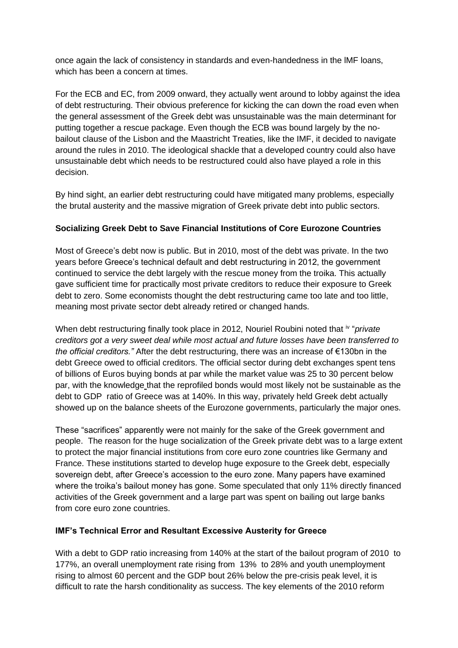once again the lack of consistency in standards and even-handedness in the lMF loans, which has been a concern at times.

For the ECB and EC, from 2009 onward, they actually went around to lobby against the idea of debt restructuring. Their obvious preference for kicking the can down the road even when the general assessment of the Greek debt was unsustainable was the main determinant for putting together a rescue package. Even though the ECB was bound largely by the nobailout clause of the Lisbon and the Maastricht Treaties, like the IMF, it decided to navigate around the rules in 2010. The ideological shackle that a developed country could also have unsustainable debt which needs to be restructured could also have played a role in this decision.

By hind sight, an earlier debt restructuring could have mitigated many problems, especially the brutal austerity and the massive migration of Greek private debt into public sectors.

### **Socializing Greek Debt to Save Financial Institutions of Core Eurozone Countries**

Most of Greece's debt now is public. But in 2010, most of the debt was private. In the two years before Greece's technical default and debt restructuring in 2012, the government continued to service the debt largely with the rescue money from the troika. This actually gave sufficient time for practically most private creditors to reduce their exposure to Greek debt to zero. Some economists thought the debt restructuring came too late and too little, meaning most private sector debt already retired or changed hands.

When debt restructuring finally took place in 2012, Nouriel Roubini noted that iv "*private creditors got a very sweet deal while most actual and future losses have been transferred to the official creditors."* After the debt restructuring, there was an increase of €130bn in the debt Greece owed to official creditors. The official sector during debt exchanges spent tens of billions of Euros buying bonds at par while the market value was 25 to 30 percent below par, with the knowledge that the reprofiled bonds would most likely not be sustainable as the debt to GDP ratio of Greece was at 140%. In this way, privately held Greek debt actually showed up on the balance sheets of the Eurozone governments, particularly the major ones.

These "sacrifices" apparently were not mainly for the sake of the Greek government and people. The reason for the huge socialization of the Greek private debt was to a large extent to protect the major financial institutions from core euro zone countries like Germany and France. These institutions started to develop huge exposure to the Greek debt, especially sovereign debt, after Greece's accession to the euro zone. Many papers have examined where the troika's bailout money has gone. Some speculated that only 11% directly financed activities of the Greek government and a large part was spent on bailing out large banks from core euro zone countries.

### **IMF's Technical Error and Resultant Excessive Austerity for Greece**

With a debt to GDP ratio increasing from 140% at the start of the bailout program of 2010 to 177%, an overall unemployment rate rising from 13% to 28% and youth unemployment rising to almost 60 percent and the GDP bout 26% below the pre-crisis peak level, it is difficult to rate the harsh conditionality as success. The key elements of the 2010 reform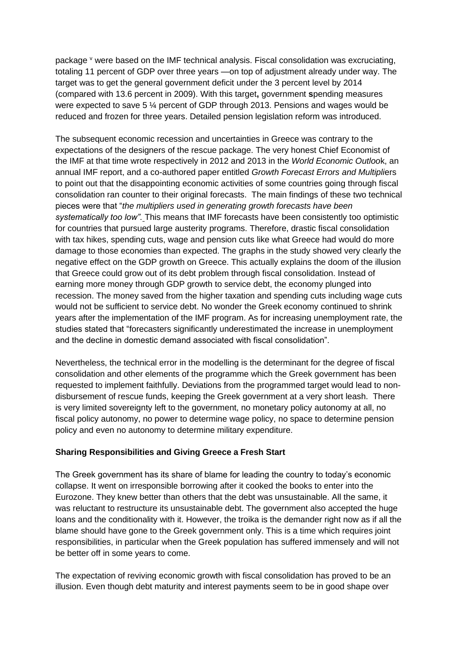package <sup>v</sup> were based on the IMF technical analysis. Fiscal consolidation was excruciating, totaling 11 percent of GDP over three years —on top of adjustment already under way. The target was to get the general government deficit under the 3 percent level by 2014 (compared with 13.6 percent in 2009). With this target**,** government **s**pending measures were expected to save 5 ¼ percent of GDP through 2013. Pensions and wages would be reduced and frozen for three years. Detailed pension legislation reform was introduced.

The subsequent economic recession and uncertainties in Greece was contrary to the expectations of the designers of the rescue package. The very honest Chief Economist of the IMF at that time wrote respectively in 2012 and 2013 in the *World Economic Outloo*k, an annual IMF report, and a co-authored paper entitled *Growth Forecast Errors and Multipli*ers to point out that the disappointing economic activities of some countries going through fiscal consolidation ran counter to their original forecasts. The main findings of these two technical pieces were that "*the multipliers used in generating growth forecasts have been systematically too low".* This means that IMF forecasts have been consistently too optimistic for countries that pursued large austerity programs. Therefore, drastic fiscal consolidation with tax hikes, spending cuts, wage and pension cuts like what Greece had would do more damage to those economies than expected. The graphs in the study showed very clearly the negative effect on the GDP growth on Greece. This actually explains the doom of the illusion that Greece could grow out of its debt problem through fiscal consolidation. Instead of earning more money through GDP growth to service debt, the economy plunged into recession. The money saved from the higher taxation and spending cuts including wage cuts would not be sufficient to service debt. No wonder the Greek economy continued to shrink years after the implementation of the IMF program. As for increasing unemployment rate, the studies stated that "forecasters significantly underestimated the increase in unemployment and the decline in domestic demand associated with fiscal consolidation".

Nevertheless, the technical error in the modelling is the determinant for the degree of fiscal consolidation and other elements of the programme which the Greek government has been requested to implement faithfully. Deviations from the programmed target would lead to nondisbursement of rescue funds, keeping the Greek government at a very short leash. There is very limited sovereignty left to the government, no monetary policy autonomy at all, no fiscal policy autonomy, no power to determine wage policy, no space to determine pension policy and even no autonomy to determine military expenditure.

#### **Sharing Responsibilities and Giving Greece a Fresh Start**

The Greek government has its share of blame for leading the country to today's economic collapse. It went on irresponsible borrowing after it cooked the books to enter into the Eurozone. They knew better than others that the debt was unsustainable. All the same, it was reluctant to restructure its unsustainable debt. The government also accepted the huge loans and the conditionality with it. However, the troika is the demander right now as if all the blame should have gone to the Greek government only. This is a time which requires joint responsibilities, in particular when the Greek population has suffered immensely and will not be better off in some years to come.

The expectation of reviving economic growth with fiscal consolidation has proved to be an illusion. Even though debt maturity and interest payments seem to be in good shape over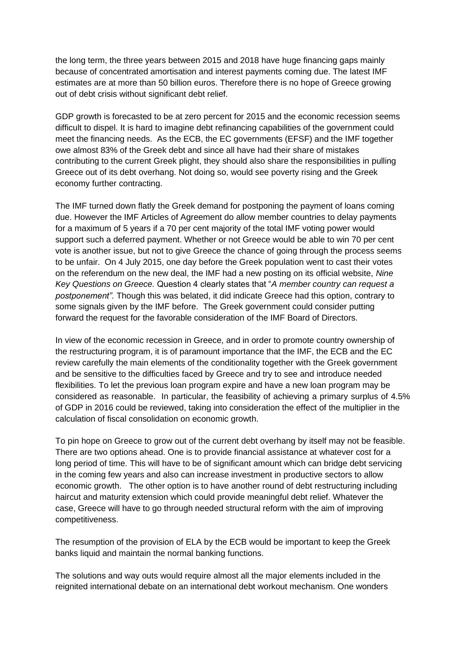the long term, the three years between 2015 and 2018 have huge financing gaps mainly because of concentrated amortisation and interest payments coming due. The latest IMF estimates are at more than 50 billion euros. Therefore there is no hope of Greece growing out of debt crisis without significant debt relief.

GDP growth is forecasted to be at zero percent for 2015 and the economic recession seems difficult to dispel. It is hard to imagine debt refinancing capabilities of the government could meet the financing needs. As the ECB, the EC governments (EFSF) and the IMF together owe almost 83% of the Greek debt and since all have had their share of mistakes contributing to the current Greek plight, they should also share the responsibilities in pulling Greece out of its debt overhang. Not doing so, would see poverty rising and the Greek economy further contracting.

The IMF turned down flatly the Greek demand for postponing the payment of loans coming due. However the IMF [Articles of Agreement](http://www.imf.org/external/pubs/ft/aa/#art5) do allow member countries to delay payments for a maximum of 5 years if a 70 per cent majority of the total IMF voting power would support such a deferred payment. Whether or not Greece would be able to win 70 per cent vote is another issue, but not to give Greece the chance of going through the process seems to be unfair. On 4 July 2015, one day before the Greek population went to cast their votes on the referendum on the new deal, the IMF had a new posting on its official website, *Nine Key Questions on Greece.* Question 4 clearly states that "*A member country can request a postponement".* Though this was belated, it did indicate Greece had this option, contrary to some signals given by the IMF before. The Greek government could consider putting forward the request for the favorable consideration of the IMF Board of Directors.

In view of the economic recession in Greece, and in order to promote country ownership of the restructuring program, it is of paramount importance that the IMF, the ECB and the EC review carefully the main elements of the conditionality together with the Greek government and be sensitive to the difficulties faced by Greece and try to see and introduce needed flexibilities. To let the previous loan program expire and have a new loan program may be considered as reasonable. In particular, the feasibility of achieving a primary surplus of 4.5% of GDP in 2016 could be reviewed, taking into consideration the effect of the multiplier in the calculation of fiscal consolidation on economic growth.

To pin hope on Greece to grow out of the current debt overhang by itself may not be feasible. There are two options ahead. One is to provide financial assistance at whatever cost for a long period of time. This will have to be of significant amount which can bridge debt servicing in the coming few years and also can increase investment in productive sectors to allow economic growth. The other option is to have another round of debt restructuring including haircut and maturity extension which could provide meaningful debt relief. Whatever the case, Greece will have to go through needed structural reform with the aim of improving competitiveness.

The resumption of the provision of ELA by the ECB would be important to keep the Greek banks liquid and maintain the normal banking functions.

The solutions and way outs would require almost all the major elements included in the reignited international debate on an international debt workout mechanism. One wonders